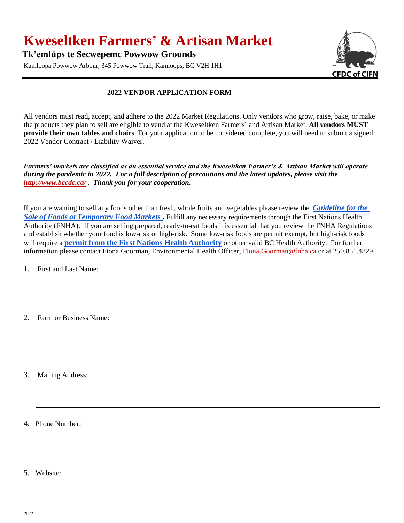## **Kweseltken Farmers' & Artisan Market**

**Tk'emlúps te Secwepemc Powwow Grounds**

Kamloopa Powwow Arbour, 345 Powwow Trail, Kamloops, BC V2H 1H1



## **2022 VENDOR APPLICATION FORM**

All vendors must read, accept, and adhere to the 2022 Market Regulations. Only vendors who grow, raise, bake, or make the products they plan to sell are eligible to vend at the Kweseltken Farmers' and Artisan Market. **All vendors MUST provide their own tables and chairs**. For your application to be considered complete, you will need to submit a signed 2022 Vendor Contract / Liability Waiver.

*Farmers' markets are classified as an essential service and the Kweseltken Farmer's & Artisan Market will operate during the pandemic in 2022. For a full description of precautions and the latest updates, please visit the <http://www.bccdc.ca/> . Thank you for your cooperation.*

If you are wanting to sell any foods other than fresh, whole fruits and vegetables please review the *[Guideline](http://www.bccdc.ca/resource-gallery/Documents/Guidelines%20and%20Forms/Guidelines%20and%20Manuals/EH/FPS/Food/Guidelines%20-%20Sale%20of%20Foods%20at%20Temporary%20Food%20Markets_current.pdf) for the Sale of Foods at [Temporary](http://www.bccdc.ca/resource-gallery/Documents/Guidelines%20and%20Forms/Guidelines%20and%20Manuals/EH/FPS/Food/Guidelines%20-%20Sale%20of%20Foods%20at%20Temporary%20Food%20Markets_current.pdf) Food Markets .* Fulfill any necessary requirements through the First Nations Health Authority (FNHA). If you are selling prepared, ready-to-eat foods it is essential that you review the FNHA Regulations and establish whether your food is low-risk or high-risk. Some low-risk foods are permit exempt, but high-risk foods will require a **permit from the First Nations Health [Authority](https://www.fnha.ca/Documents/FNHA-Temporary-Food-Services-Application.pdf)** or other valid BC Health Authority. For further information please contact Fiona Goorman, Environmental Health Officer[, Fiona.Goorman@fnha.ca](mailto:Fiona.Goorman@fnha.ca) or at 250.851.4829.

1. First and Last Name:

2. Farm or Business Name:

3. Mailing Address:

4. Phone Number:

5. Website: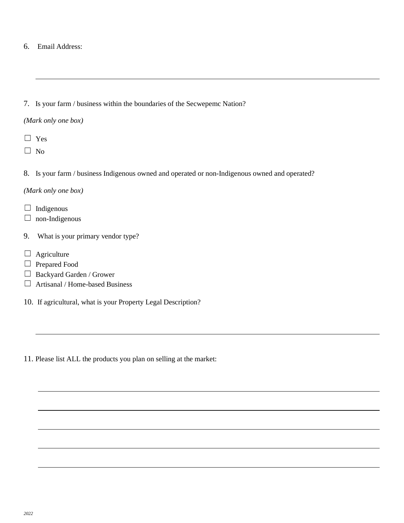6. Email Address:

## 7. Is your farm / business within the boundaries of the Secwepemc Nation?

- *(Mark only one box)*
- ☐ Yes
- $\square$  No
- 8. Is your farm / business Indigenous owned and operated or non-Indigenous owned and operated?

*(Mark only one box)*

- $\Box$  Indigenous
- $\Box$  non-Indigenous
- 9. What is your primary vendor type?
- $\Box$  Agriculture
- □ Prepared Food
- ☐ Backyard Garden / Grower
- $\Box$  Artisanal / Home-based Business
- 10. If agricultural, what is your Property Legal Description?
- 11. Please list ALL the products you plan on selling at the market: